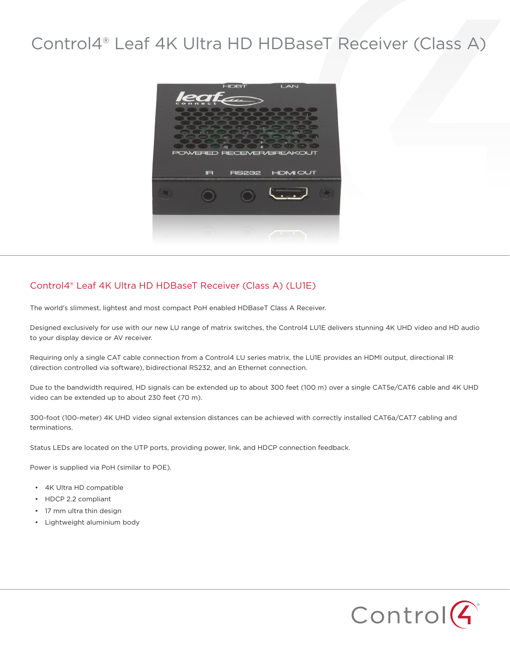## Control4® Leaf 4K Ultra HD HDBaseT Receiver (Class A)



## Control4® Leaf 4K Ultra HD HDBaseT Receiver (Class A) (LU1E)

The world's slimmest, lightest and most compact PoH enabled HDBaseT Class A Receiver.

Designed exclusively for use with our new LU range of matrix switches, the Control4 LU1E delivers stunning 4K UHD video and HD audio to your display device or AV receiver.

Requiring only a single CAT cable connection from a Control4 LU series matrix, the LU1E provides an HDMI output, directional IR (direction controlled via software), bidirectional RS232, and an Ethernet connection.

Due to the bandwidth required, HD signals can be extended up to about 300 feet (100 m) over a single CAT5e/CAT6 cable and 4K UHD video can be extended up to about 230 feet (70 m).

300-foot (100-meter) 4K UHD video signal extension distances can be achieved with correctly installed CAT6a/CAT7 cabling and terminations.

Status LEDs are located on the UTP ports, providing power, link, and HDCP connection feedback.

Power is supplied via PoH (similar to POE).

- 4K Ultra HD compatible
- HDCP 2.2 compliant
- 17 mm ultra thin design
- Lightweight aluminium body